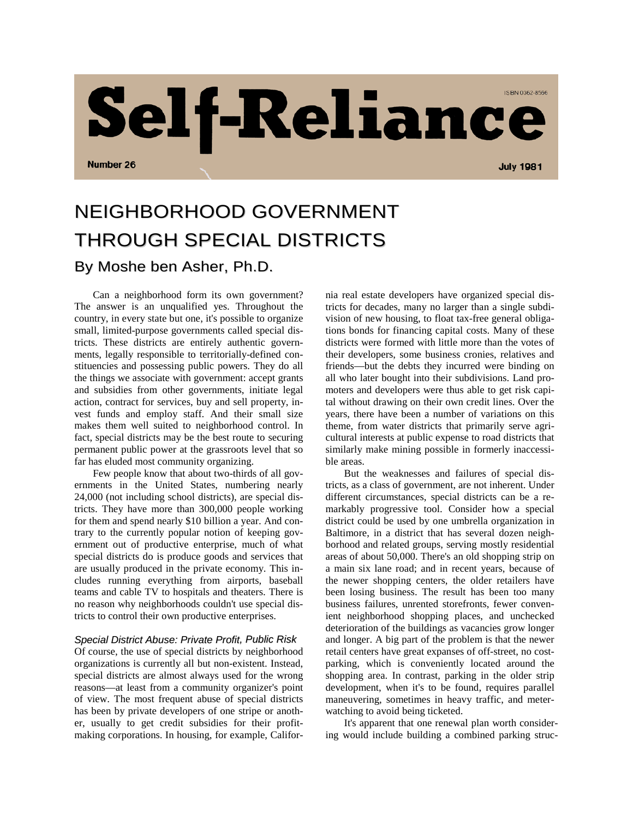

## NEIGHBORHOOD GOVERNMENT THROUGH SPECIAL DISTRICTS By Moshe ben Asher, Ph.D.

Can a neighborhood form its own government? The answer is an unqualified yes. Throughout the country, in every state but one, it's possible to organize small, limited-purpose governments called special districts. These districts are entirely authentic governments, legally responsible to territorially-defined constituencies and possessing public powers. They do all the things we associate with government: accept grants and subsidies from other governments, initiate legal action, contract for services, buy and sell property, invest funds and employ staff. And their small size makes them well suited to neighborhood control. In fact, special districts may be the best route to securing permanent public power at the grassroots level that so far has eluded most community organizing.

Few people know that about two-thirds of all governments in the United States, numbering nearly 24,000 (not including school districts), are special districts. They have more than 300,000 people working for them and spend nearly \$10 billion a year. And contrary to the currently popular notion of keeping government out of productive enterprise, much of what special districts do is produce goods and services that are usually produced in the private economy. This includes running everything from airports, baseball teams and cable TV to hospitals and theaters. There is no reason why neighborhoods couldn't use special districts to control their own productive enterprises.

## *Special District Abuse: Private Profit, Public Risk*

Of course, the use of special districts by neighborhood organizations is currently all but non-existent. Instead, special districts are almost always used for the wrong reasons—at least from a community organizer's point of view. The most frequent abuse of special districts has been by private developers of one stripe or another, usually to get credit subsidies for their profitmaking corporations. In housing, for example, California real estate developers have organized special districts for decades, many no larger than a single subdivision of new housing, to float tax-free general obligations bonds for financing capital costs. Many of these districts were formed with little more than the votes of their developers, some business cronies, relatives and friends—but the debts they incurred were binding on all who later bought into their subdivisions. Land promoters and developers were thus able to get risk capital without drawing on their own credit lines. Over the years, there have been a number of variations on this theme, from water districts that primarily serve agricultural interests at public expense to road districts that similarly make mining possible in formerly inaccessible areas.

But the weaknesses and failures of special districts, as a class of government, are not inherent. Under different circumstances, special districts can be a remarkably progressive tool. Consider how a special district could be used by one umbrella organization in Baltimore, in a district that has several dozen neighborhood and related groups, serving mostly residential areas of about 50,000. There's an old shopping strip on a main six lane road; and in recent years, because of the newer shopping centers, the older retailers have been losing business. The result has been too many business failures, unrented storefronts, fewer convenient neighborhood shopping places, and unchecked deterioration of the buildings as vacancies grow longer and longer. A big part of the problem is that the newer retail centers have great expanses of off-street, no costparking, which is conveniently located around the shopping area. In contrast, parking in the older strip development, when it's to be found, requires parallel maneuvering, sometimes in heavy traffic, and meterwatching to avoid being ticketed.

It's apparent that one renewal plan worth considering would include building a combined parking struc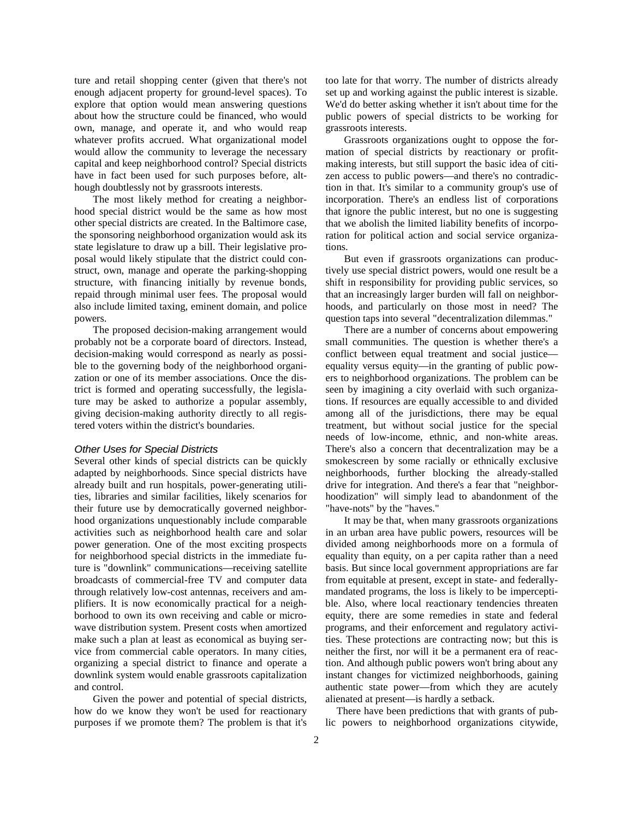ture and retail shopping center (given that there's not enough adjacent property for ground-level spaces). To explore that option would mean answering questions about how the structure could be financed, who would own, manage, and operate it, and who would reap whatever profits accrued. What organizational model would allow the community to leverage the necessary capital and keep neighborhood control? Special districts have in fact been used for such purposes before, although doubtlessly not by grassroots interests.

The most likely method for creating a neighborhood special district would be the same as how most other special districts are created. In the Baltimore case, the sponsoring neighborhood organization would ask its state legislature to draw up a bill. Their legislative proposal would likely stipulate that the district could construct, own, manage and operate the parking-shopping structure, with financing initially by revenue bonds, repaid through minimal user fees. The proposal would also include limited taxing, eminent domain, and police powers.

The proposed decision-making arrangement would probably not be a corporate board of directors. Instead, decision-making would correspond as nearly as possible to the governing body of the neighborhood organization or one of its member associations. Once the district is formed and operating successfully, the legislature may be asked to authorize a popular assembly, giving decision-making authority directly to all registered voters within the district's boundaries.

## *Other Uses for Special Districts*

Several other kinds of special districts can be quickly adapted by neighborhoods. Since special districts have already built and run hospitals, power-generating utilities, libraries and similar facilities, likely scenarios for their future use by democratically governed neighborhood organizations unquestionably include comparable activities such as neighborhood health care and solar power generation. One of the most exciting prospects for neighborhood special districts in the immediate future is "downlink" communications—receiving satellite broadcasts of commercial-free TV and computer data through relatively low-cost antennas, receivers and amplifiers. It is now economically practical for a neighborhood to own its own receiving and cable or microwave distribution system. Present costs when amortized make such a plan at least as economical as buying service from commercial cable operators. In many cities, organizing a special district to finance and operate a downlink system would enable grassroots capitalization and control.

Given the power and potential of special districts, how do we know they won't be used for reactionary purposes if we promote them? The problem is that it's too late for that worry. The number of districts already set up and working against the public interest is sizable. We'd do better asking whether it isn't about time for the public powers of special districts to be working for grassroots interests.

Grassroots organizations ought to oppose the formation of special districts by reactionary or profitmaking interests, but still support the basic idea of citizen access to public powers—and there's no contradiction in that. It's similar to a community group's use of incorporation. There's an endless list of corporations that ignore the public interest, but no one is suggesting that we abolish the limited liability benefits of incorporation for political action and social service organizations.

But even if grassroots organizations can productively use special district powers, would one result be a shift in responsibility for providing public services, so that an increasingly larger burden will fall on neighborhoods, and particularly on those most in need? The question taps into several "decentralization dilemmas."

There are a number of concerns about empowering small communities. The question is whether there's a conflict between equal treatment and social justice equality versus equity—in the granting of public powers to neighborhood organizations. The problem can be seen by imagining a city overlaid with such organizations. If resources are equally accessible to and divided among all of the jurisdictions, there may be equal treatment, but without social justice for the special needs of low-income, ethnic, and non-white areas. There's also a concern that decentralization may be a smokescreen by some racially or ethnically exclusive neighborhoods, further blocking the already-stalled drive for integration. And there's a fear that "neighborhoodization" will simply lead to abandonment of the "have-nots" by the "haves."

It may be that, when many grassroots organizations in an urban area have public powers, resources will be divided among neighborhoods more on a formula of equality than equity, on a per capita rather than a need basis. But since local government appropriations are far from equitable at present, except in state- and federallymandated programs, the loss is likely to be imperceptible. Also, where local reactionary tendencies threaten equity, there are some remedies in state and federal programs, and their enforcement and regulatory activities. These protections are contracting now; but this is neither the first, nor will it be a permanent era of reaction. And although public powers won't bring about any instant changes for victimized neighborhoods, gaining authentic state power—from which they are acutely alienated at present—is hardly a setback.

There have been predictions that with grants of public powers to neighborhood organizations citywide,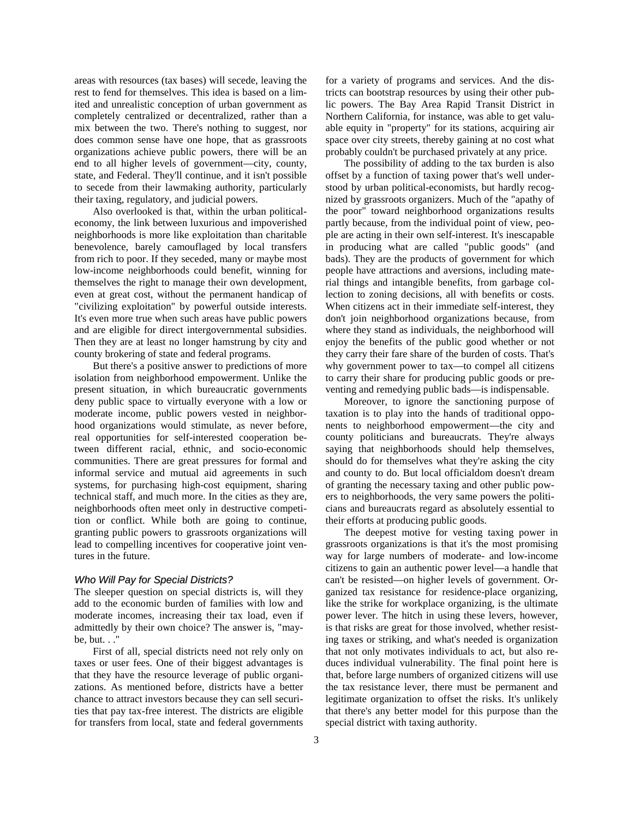areas with resources (tax bases) will secede, leaving the rest to fend for themselves. This idea is based on a limited and unrealistic conception of urban government as completely centralized or decentralized, rather than a mix between the two. There's nothing to suggest, nor does common sense have one hope, that as grassroots organizations achieve public powers, there will be an end to all higher levels of government—city, county, state, and Federal. They'll continue, and it isn't possible to secede from their lawmaking authority, particularly their taxing, regulatory, and judicial powers.

Also overlooked is that, within the urban politicaleconomy, the link between luxurious and impoverished neighborhoods is more like exploitation than charitable benevolence, barely camouflaged by local transfers from rich to poor. If they seceded, many or maybe most low-income neighborhoods could benefit, winning for themselves the right to manage their own development, even at great cost, without the permanent handicap of "civilizing exploitation" by powerful outside interests. It's even more true when such areas have public powers and are eligible for direct intergovernmental subsidies. Then they are at least no longer hamstrung by city and county brokering of state and federal programs.

But there's a positive answer to predictions of more isolation from neighborhood empowerment. Unlike the present situation, in which bureaucratic governments deny public space to virtually everyone with a low or moderate income, public powers vested in neighborhood organizations would stimulate, as never before, real opportunities for self-interested cooperation between different racial, ethnic, and socio-economic communities. There are great pressures for formal and informal service and mutual aid agreements in such systems, for purchasing high-cost equipment, sharing technical staff, and much more. In the cities as they are, neighborhoods often meet only in destructive competition or conflict. While both are going to continue, granting public powers to grassroots organizations will lead to compelling incentives for cooperative joint ventures in the future.

## *Who Will Pay for Special Districts?*

The sleeper question on special districts is, will they add to the economic burden of families with low and moderate incomes, increasing their tax load, even if admittedly by their own choice? The answer is, "maybe, but. . ."

First of all, special districts need not rely only on taxes or user fees. One of their biggest advantages is that they have the resource leverage of public organizations. As mentioned before, districts have a better chance to attract investors because they can sell securities that pay tax-free interest. The districts are eligible for transfers from local, state and federal governments for a variety of programs and services. And the districts can bootstrap resources by using their other public powers. The Bay Area Rapid Transit District in Northern California, for instance, was able to get valuable equity in "property" for its stations, acquiring air space over city streets, thereby gaining at no cost what probably couldn't be purchased privately at any price.

The possibility of adding to the tax burden is also offset by a function of taxing power that's well understood by urban political-economists, but hardly recognized by grassroots organizers. Much of the "apathy of the poor" toward neighborhood organizations results partly because, from the individual point of view, people are acting in their own self-interest. It's inescapable in producing what are called "public goods" (and bads). They are the products of government for which people have attractions and aversions, including material things and intangible benefits, from garbage collection to zoning decisions, all with benefits or costs. When citizens act in their immediate self-interest, they don't join neighborhood organizations because, from where they stand as individuals, the neighborhood will enjoy the benefits of the public good whether or not they carry their fare share of the burden of costs. That's why government power to tax—to compel all citizens to carry their share for producing public goods or preventing and remedying public bads—is indispensable.

Moreover, to ignore the sanctioning purpose of taxation is to play into the hands of traditional opponents to neighborhood empowerment—the city and county politicians and bureaucrats. They're always saying that neighborhoods should help themselves, should do for themselves what they're asking the city and county to do. But local officialdom doesn't dream of granting the necessary taxing and other public powers to neighborhoods, the very same powers the politicians and bureaucrats regard as absolutely essential to their efforts at producing public goods.

The deepest motive for vesting taxing power in grassroots organizations is that it's the most promising way for large numbers of moderate- and low-income citizens to gain an authentic power level—a handle that can't be resisted—on higher levels of government. Organized tax resistance for residence-place organizing, like the strike for workplace organizing, is the ultimate power lever. The hitch in using these levers, however, is that risks are great for those involved, whether resisting taxes or striking, and what's needed is organization that not only motivates individuals to act, but also reduces individual vulnerability. The final point here is that, before large numbers of organized citizens will use the tax resistance lever, there must be permanent and legitimate organization to offset the risks. It's unlikely that there's any better model for this purpose than the special district with taxing authority.